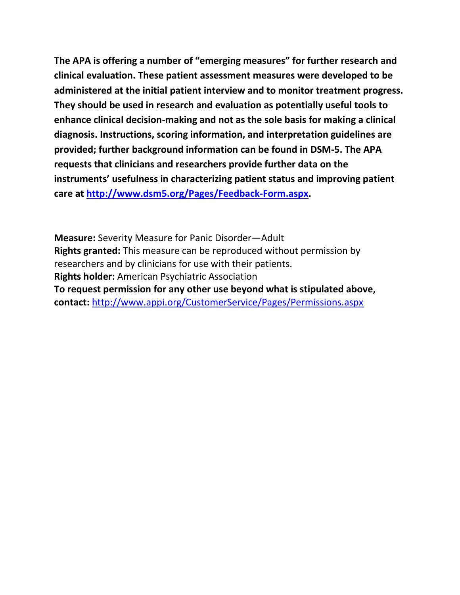**The APA is offering a number of "emerging measures" for further research and clinical evaluation. These patient assessment measures were developed to be administered at the initial patient interview and to monitor treatment progress. They should be used in research and evaluation as potentially useful tools to enhance clinical decision-making and not as the sole basis for making a clinical diagnosis. Instructions, scoring information, and interpretation guidelines are provided; further background information can be found in DSM-5. The APA requests that clinicians and researchers provide further data on the instruments' usefulness in characterizing patient status and improving patient care at [http://www.dsm5.org/Pages/Feedback-Form.aspx.](http://www.dsm5.org/Pages/Feedback-Form.aspx)**

**Measure:** Severity Measure for Panic Disorder—Adult **Rights granted:** This measure can be reproduced without permission by researchers and by clinicians for use with their patients. **Rights holder:** American Psychiatric Association **To request permission for any other use beyond what is stipulated above, contact:** <http://www.appi.org/CustomerService/Pages/Permissions.aspx>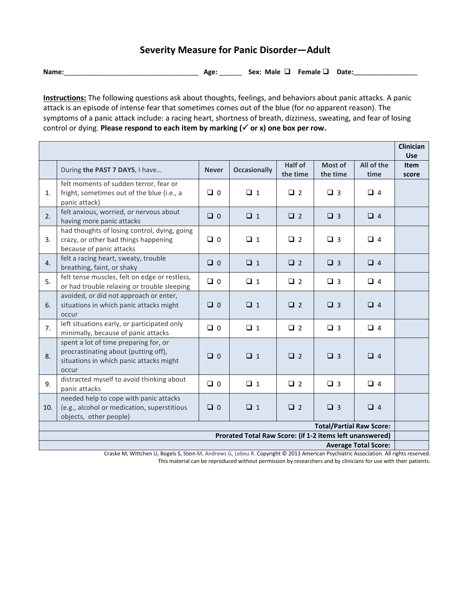## **Severity Measure for Panic Disorder—Adult**

**Name:**\_\_\_\_\_\_\_\_\_\_\_\_\_\_\_\_\_\_\_\_\_\_\_\_\_\_\_\_\_\_\_\_\_\_\_\_ **Age:** \_\_\_\_\_\_ **Sex: Male Female Date:\_\_\_\_\_\_\_\_\_\_\_\_\_\_\_\_\_**

**Instructions:** The following questions ask about thoughts, feelings, and behaviors about panic attacks. A panic attack is an episode of intense fear that sometimes comes out of the blue (for no apparent reason). The symptoms of a panic attack include: a racing heart, shortness of breath, dizziness, sweating, and fear of losing control or dying. **Please respond to each item by marking (√ or x) one box per row.** 

|                                                          |                                                                                                                                   |              |                     |                     |                     |                    | <b>Clinician</b><br><b>Use</b> |
|----------------------------------------------------------|-----------------------------------------------------------------------------------------------------------------------------------|--------------|---------------------|---------------------|---------------------|--------------------|--------------------------------|
|                                                          | During the PAST 7 DAYS, I have                                                                                                    | <b>Never</b> | <b>Occasionally</b> | Half of<br>the time | Most of<br>the time | All of the<br>time | <b>Item</b><br>score           |
| 1.                                                       | felt moments of sudden terror, fear or<br>fright, sometimes out of the blue (i.e., a<br>panic attack)                             | $\Box$ 0     | $\Box$ 1            | $\Box$ 2            | $\Box$ 3            | $\Box$ 4           |                                |
| 2.                                                       | felt anxious, worried, or nervous about<br>having more panic attacks                                                              | $\Box$ 0     | $\Box$ 1            | $\Box$ 2            | $\Box$ 3            | $\Box$ 4           |                                |
| 3.                                                       | had thoughts of losing control, dying, going<br>crazy, or other bad things happening<br>because of panic attacks                  | $\Box$ 0     | $\Box$ 1            | $\Box$ 2            | $\Box$ 3            | $\Box$ 4           |                                |
| 4.                                                       | felt a racing heart, sweaty, trouble<br>breathing, faint, or shaky                                                                | $\Box$ 0     | $\Box$ 1            | $\Box$ 2            | $\Box$ 3            | $\Box$ 4           |                                |
| 5.                                                       | felt tense muscles, felt on edge or restless,<br>or had trouble relaxing or trouble sleeping                                      | $\Box$ 0     | $\Box$ 1            | $\Box$ 2            | $\Box$ 3            | $\Box$ 4           |                                |
| 6.                                                       | avoided, or did not approach or enter,<br>situations in which panic attacks might<br>occur                                        | $\Box$ 0     | $\Box$ 1            | $\Box$ 2            | $\Box$ 3            | $\Box$ 4           |                                |
| 7.                                                       | left situations early, or participated only<br>minimally, because of panic attacks                                                | $\Box$ 0     | $\Box$ 1            | $\Box$ 2            | $\Box$ 3            | $\Box$ 4           |                                |
| 8.                                                       | spent a lot of time preparing for, or<br>procrastinating about (putting off),<br>situations in which panic attacks might<br>occur | $\Box$ 0     | $\Box$ 1            | $\Box$ 2            | $\Box$ 3            | $\Box$ 4           |                                |
| 9.                                                       | distracted myself to avoid thinking about<br>panic attacks                                                                        | $\Box$ 0     | $\Box$ 1            | $\Box$ 2            | $\Box$ 3            | $\Box$ 4           |                                |
| 10.                                                      | needed help to cope with panic attacks<br>(e.g., alcohol or medication, superstitious<br>objects, other people)                   | $\Box$ 0     | $\Box$ 1            | $\Box$ 2            | $\Box$ 3            | $\Box$ 4           |                                |
| <b>Total/Partial Raw Score:</b>                          |                                                                                                                                   |              |                     |                     |                     |                    |                                |
| Prorated Total Raw Score: (if 1-2 items left unanswered) |                                                                                                                                   |              |                     |                     |                     |                    |                                |
| <b>Average Total Score:</b>                              |                                                                                                                                   |              |                     |                     |                     |                    |                                |

Craske M, Wittchen U, Bogels S, Stein M, Andrews G, Lebeu R. Copyright © 2013 American Psychiatric Association. All rights reserved. This material can be reproduced without permission by researchers and by clinicians for use with their patients.